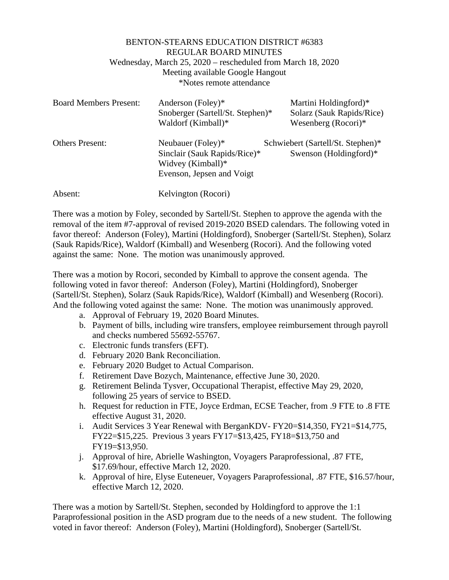|                               | <b>BENTON-STEARNS EDUCATION DISTRICT #6383</b>              |                                   |
|-------------------------------|-------------------------------------------------------------|-----------------------------------|
|                               | <b>REGULAR BOARD MINUTES</b>                                |                                   |
|                               | Wednesday, March 25, 2020 – rescheduled from March 18, 2020 |                                   |
|                               | Meeting available Google Hangout                            |                                   |
|                               | *Notes remote attendance                                    |                                   |
| <b>Board Members Present:</b> | Anderson (Foley)*                                           | Martini Holdingford)*             |
|                               | Snoberger (Sartell/St. Stephen)*                            | Solarz (Sauk Rapids/Rice)         |
|                               | Waldorf (Kimball)*                                          | Wesenberg $(Rocori)*$             |
| <b>Others Present:</b>        | Neubauer (Foley)*                                           | Schwiebert (Sartell/St. Stephen)* |
|                               | Sinclair (Sauk Rapids/Rice)*                                | Swenson (Holdingford) $*$         |

Widvey (Kimball)\*

Evenson, Jepsen and Voigt

Absent: Kelvington (Rocori)

There was a motion by Foley, seconded by Sartell/St. Stephen to approve the agenda with the removal of the item #7-approval of revised 2019-2020 BSED calendars. The following voted in favor thereof: Anderson (Foley), Martini (Holdingford), Snoberger (Sartell/St. Stephen), Solarz (Sauk Rapids/Rice), Waldorf (Kimball) and Wesenberg (Rocori). And the following voted against the same: None. The motion was unanimously approved.

There was a motion by Rocori, seconded by Kimball to approve the consent agenda. The following voted in favor thereof: Anderson (Foley), Martini (Holdingford), Snoberger (Sartell/St. Stephen), Solarz (Sauk Rapids/Rice), Waldorf (Kimball) and Wesenberg (Rocori). And the following voted against the same: None. The motion was unanimously approved.

- a. Approval of February 19, 2020 Board Minutes.
- b. Payment of bills, including wire transfers, employee reimbursement through payroll and checks numbered 55692-55767.
- c. Electronic funds transfers (EFT).
- d. February 2020 Bank Reconciliation.
- e. February 2020 Budget to Actual Comparison.
- f. Retirement Dave Bozych, Maintenance, effective June 30, 2020.
- g. Retirement Belinda Tysver, Occupational Therapist, effective May 29, 2020, following 25 years of service to BSED.
- h. Request for reduction in FTE, Joyce Erdman, ECSE Teacher, from .9 FTE to .8 FTE effective August 31, 2020.
- i. Audit Services 3 Year Renewal with BerganKDV- FY20=\$14,350, FY21=\$14,775, FY22=\$15,225. Previous 3 years FY17=\$13,425, FY18=\$13,750 and FY19=\$13,950.
- j. Approval of hire, Abrielle Washington, Voyagers Paraprofessional, .87 FTE, \$17.69/hour, effective March 12, 2020.
- k. Approval of hire, Elyse Euteneuer, Voyagers Paraprofessional, .87 FTE, \$16.57/hour, effective March 12, 2020.

There was a motion by Sartell/St. Stephen, seconded by Holdingford to approve the 1:1 Paraprofessional position in the ASD program due to the needs of a new student. The following voted in favor thereof: Anderson (Foley), Martini (Holdingford), Snoberger (Sartell/St.